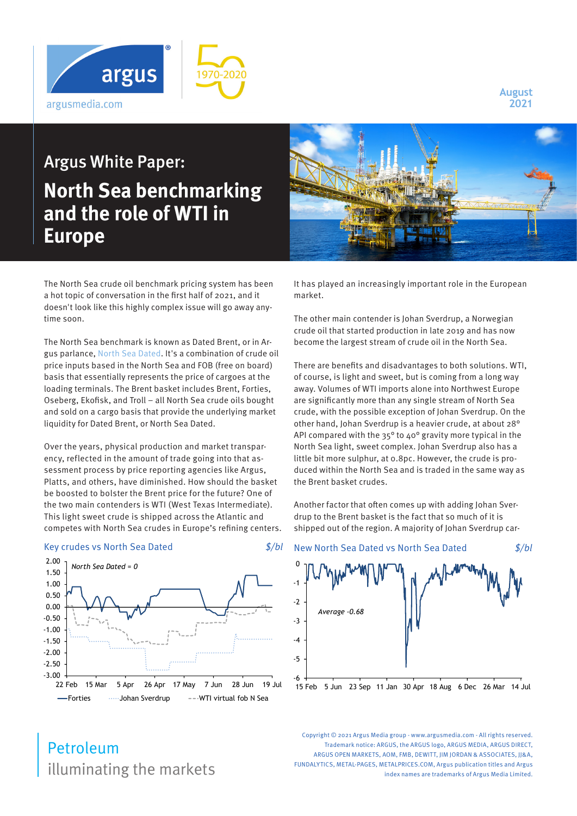

**August 2021**

## Argus White Paper: **North Sea benchmarking and the role of WTI in Europe**

The North Sea crude oil benchmark pricing system has been a hot topic of conversation in the first half of 2021, and it doesn't look like this highly complex issue will go away anytime soon.

The North Sea benchmark is known as Dated Brent, or in Argus parlance, [North Sea Dated](https://www.argusmedia.com/en/methodology/key-prices/argus-north-sea-dated-crude). It's a combination of crude oil price inputs based in the North Sea and FOB (free on board) basis that essentially represents the price of cargoes at the loading terminals. The Brent basket includes Brent, Forties, Oseberg, Ekofisk, and Troll – all North Sea crude oils bought and sold on a cargo basis that provide the underlying market liquidity for Dated Brent, or North Sea Dated.

Over the years, physical production and market transparency, reflected in the amount of trade going into that assessment process by price reporting agencies like Argus, Platts, and others, have diminished. How should the basket be boosted to bolster the Brent price for the future? One of the two main contenders is WTI (West Texas Intermediate). This light sweet crude is shipped across the Atlantic and competes with North Sea crudes in Europe's refining centers.

## Key crudes vs North Sea Dated  $\frac{s}{bl}$





It has played an increasingly important role in the European market.

The other main contender is Johan Sverdrup, a Norwegian crude oil that started production in late 2019 and has now become the largest stream of crude oil in the North Sea.

There are benefits and disadvantages to both solutions. WTI, of course, is light and sweet, but is coming from a long way away. Volumes of WTI imports alone into Northwest Europe are significantly more than any single stream of North Sea crude, with the possible exception of Johan Sverdrup. On the other hand, Johan Sverdrup is a heavier crude, at about 28° API compared with the 35° to 40° gravity more typical in the North Sea light, sweet complex. Johan Sverdrup also has a little bit more sulphur, at 0.8pc. However, the crude is produced within the North Sea and is traded in the same way as the Brent basket crudes.

Another factor that often comes up with adding Johan Sverdrup to the Brent basket is the fact that so much of it is shipped out of the region. A majority of Johan Sverdrup car-



illuminating the markets Petroleum

Copyright © 2021 Argus Media group - www.argusmedia.com - All rights reserved. Trademark notice: ARGUS, the ARGUS logo, ARGUS MEDIA, ARGUS DIRECT, ARGUS OPEN MARKETS, AOM, FMB, DEWITT, IIM JORDAN & ASSOCIATES, II&A, FUNDALYTICS, METAL-PAGES, METALPRICES.COM, Argus publication titles and Argus index names are trademarks of Argus Media Limited.